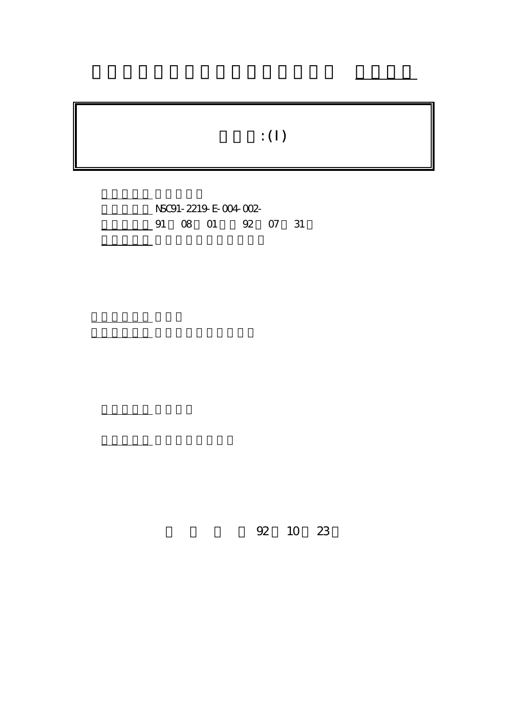## $\mathbf{f}$ : (I)

行政院國家科學委員會專題研究計畫 成果報告

NSC91-2219-E-004-002-91 08 01 92 07 31

計畫主持人: 連耀南

報告類型: 完整報告

共同主持人: 陸行,張宏慶,蔡子傑

。<br>在前書 : 本計畫可公開查

92 10 23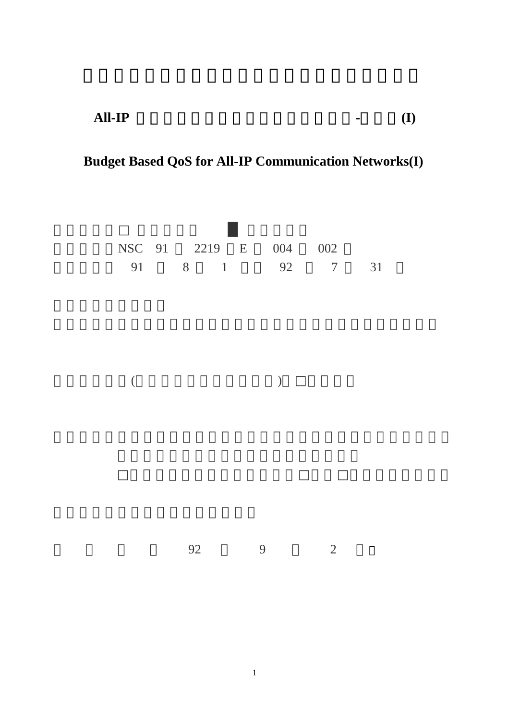**All-IP** 網路上以預算為基礎之品質管理研究**-**總計畫**(I)** 

## **Budget Based QoS for All-IP Communication Networks(I)**

|          |    | NSC 91 2219 E |           | 004 002 |                |    |
|----------|----|---------------|-----------|---------|----------------|----|
|          |    | 91 8 1 92 7   |           |         |                | 31 |
|          |    |               |           |         |                |    |
|          |    |               |           |         |                |    |
|          |    |               |           |         |                |    |
|          |    |               |           |         |                |    |
|          |    |               |           |         |                |    |
|          |    |               |           |         |                |    |
| $\left($ |    |               | $\lambda$ |         |                |    |
|          |    |               |           |         |                |    |
|          |    |               |           |         |                |    |
|          |    |               |           |         |                |    |
|          |    |               |           |         |                |    |
|          |    |               |           |         |                |    |
|          |    |               |           |         |                |    |
|          |    |               |           |         |                |    |
|          |    |               |           |         |                |    |
|          |    |               |           |         |                |    |
|          | 92 |               | 9         |         | $\overline{2}$ |    |
|          |    |               |           |         |                |    |
|          |    |               |           |         |                |    |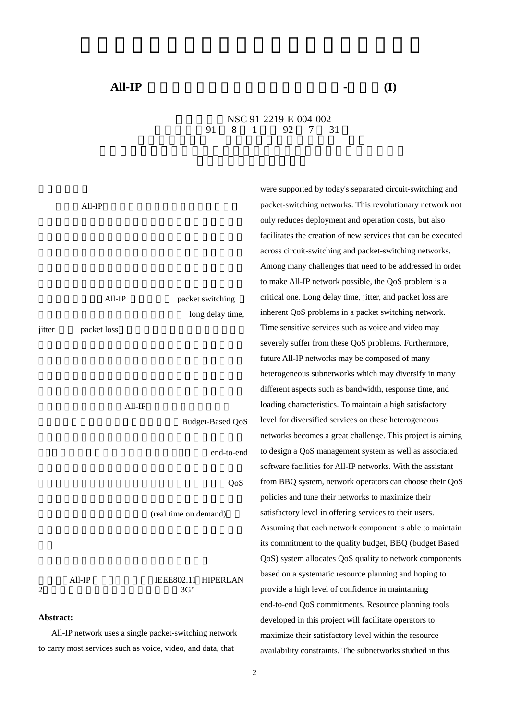## NSC 91-2219-E-004-002 執行期限:91 8 1 日至 92 7 31

|           |             |                         | were supported by today's separated circuit-switching and     |  |  |  |
|-----------|-------------|-------------------------|---------------------------------------------------------------|--|--|--|
|           | All-IP      |                         | packet-switching networks. This revolutionary network not     |  |  |  |
|           |             |                         | only reduces deployment and operation costs, but also         |  |  |  |
|           |             |                         | facilitates the creation of new services that can be executed |  |  |  |
|           |             |                         | across circuit-switching and packet-switching networks.       |  |  |  |
|           |             |                         | Among many challenges that need to be addressed in order      |  |  |  |
|           |             |                         | to make All-IP network possible, the QoS problem is a         |  |  |  |
|           | All-IP      | packet switching        | critical one. Long delay time, jitter, and packet loss are    |  |  |  |
|           |             | long delay time,        | inherent QoS problems in a packet switching network.          |  |  |  |
| jitter    | packet loss |                         | Time sensitive services such as voice and video may           |  |  |  |
|           |             |                         | severely suffer from these QoS problems. Furthermore,         |  |  |  |
|           |             |                         | future All-IP networks may be composed of many                |  |  |  |
|           |             |                         | heterogeneous subnetworks which may diversify in many         |  |  |  |
|           |             |                         | different aspects such as bandwidth, response time, and       |  |  |  |
|           | $All$ -IP   |                         | loading characteristics. To maintain a high satisfactory      |  |  |  |
|           |             | <b>Budget-Based QoS</b> | level for diversified services on these heterogeneous         |  |  |  |
|           |             |                         | networks becomes a great challenge. This project is aiming    |  |  |  |
|           |             | end-to-end              | to design a QoS management system as well as associated       |  |  |  |
|           |             |                         | software facilities for All-IP networks. With the assistant   |  |  |  |
|           |             | QoS                     | from BBQ system, network operators can choose their QoS       |  |  |  |
|           |             |                         | policies and tune their networks to maximize their            |  |  |  |
|           |             | (real time on demand)   | satisfactory level in offering services to their users.       |  |  |  |
|           |             |                         | Assuming that each network component is able to maintain      |  |  |  |
|           |             |                         | its commitment to the quality budget, BBQ (budget Based       |  |  |  |
|           |             |                         | QoS) system allocates QoS quality to network components       |  |  |  |
|           | All-IP      | IEEE802.11 HIPERLAN     | based on a systematic resource planning and hoping to         |  |  |  |
| 2         |             | 3G'                     | provide a high level of confidence in maintaining             |  |  |  |
|           |             |                         | end-to-end QoS commitments. Resource planning tools           |  |  |  |
| Abstract: |             |                         | developed in this project will facilitate operators to        |  |  |  |

All-IP network uses a single packet-switching network to carry most services such as voice, video, and data, that

2

maximize their satisfactory level within the resource availability constraints. The subnetworks studied in this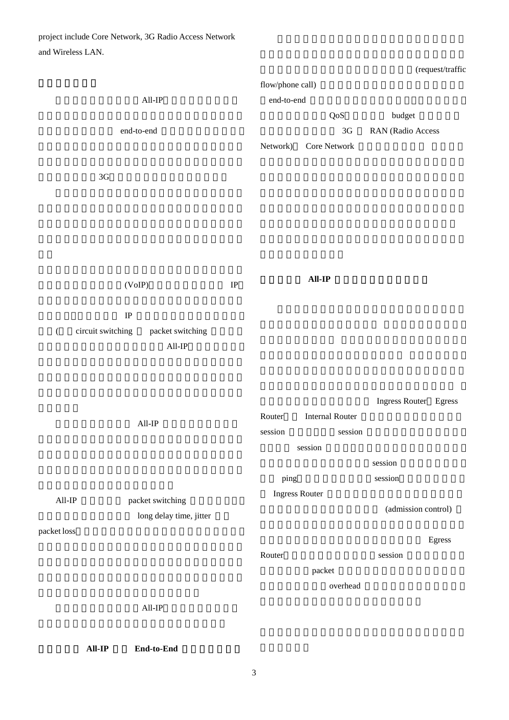project include Core Network, 3G Radio Access Network and Wireless LAN.

(request/traffic

|                 |                                       |          |                       | flow/phone call)          |                       |  |  |  |
|-----------------|---------------------------------------|----------|-----------------------|---------------------------|-----------------------|--|--|--|
| $\text{All-IP}$ |                                       |          | end-to-end            |                           |                       |  |  |  |
|                 |                                       |          |                       | $\ensuremath{\text{QoS}}$ | $budget$              |  |  |  |
|                 | end-to-end                            |          |                       | $3\mbox{G}$               | RAN (Radio Access     |  |  |  |
|                 |                                       |          | Network)              | Core Network              |                       |  |  |  |
|                 |                                       |          |                       |                           |                       |  |  |  |
|                 | $3\mbox{G}$                           |          |                       |                           |                       |  |  |  |
|                 |                                       |          |                       |                           |                       |  |  |  |
|                 |                                       |          |                       |                           |                       |  |  |  |
|                 |                                       |          |                       |                           |                       |  |  |  |
|                 |                                       |          |                       |                           |                       |  |  |  |
|                 |                                       |          |                       |                           |                       |  |  |  |
|                 |                                       | $\rm IP$ |                       | $All-IP$                  |                       |  |  |  |
|                 | (VoIP)                                |          |                       |                           |                       |  |  |  |
|                 | $\rm IP$                              |          |                       |                           |                       |  |  |  |
| $\left($        | circuit switching<br>packet switching |          |                       |                           |                       |  |  |  |
|                 | $All$ -IP                             |          |                       |                           |                       |  |  |  |
|                 |                                       |          |                       |                           |                       |  |  |  |
|                 |                                       |          |                       |                           |                       |  |  |  |
|                 |                                       |          |                       |                           |                       |  |  |  |
|                 |                                       |          | Router                | <b>Internal Router</b>    | Ingress Router Egress |  |  |  |
|                 | $All$ IP                              |          | session               | session                   |                       |  |  |  |
|                 |                                       |          |                       | session                   |                       |  |  |  |
|                 |                                       |          |                       |                           | session               |  |  |  |
|                 |                                       |          | ping                  |                           | session               |  |  |  |
|                 |                                       |          | <b>Ingress Router</b> |                           |                       |  |  |  |
| $\text{All-IP}$ | packet switching                      |          |                       |                           | (admission control)   |  |  |  |
|                 | long delay time, jitter               |          |                       |                           |                       |  |  |  |
| packet loss     |                                       |          |                       |                           | Egress                |  |  |  |
|                 |                                       |          | Router                |                           | session               |  |  |  |
|                 |                                       |          |                       | packet                    |                       |  |  |  |
|                 |                                       |          |                       | overhead                  |                       |  |  |  |
|                 | $All-IP$                              |          |                       |                           |                       |  |  |  |
|                 |                                       |          |                       |                           |                       |  |  |  |
|                 |                                       |          |                       |                           |                       |  |  |  |
|                 | $All-IP$<br>End-to-End                |          |                       |                           |                       |  |  |  |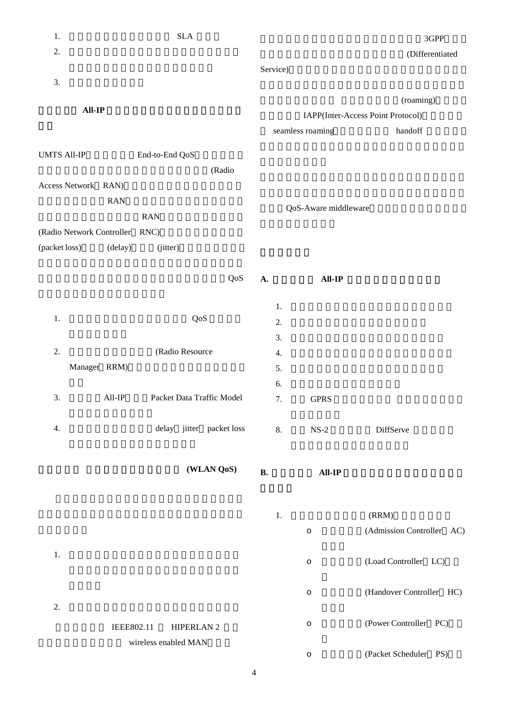| 1.                             |              | <b>SLA</b>           |                           |           |                      | 3GPP                              |
|--------------------------------|--------------|----------------------|---------------------------|-----------|----------------------|-----------------------------------|
| 2.                             |              |                      |                           |           |                      | (Differentiated                   |
|                                |              |                      |                           | Service)  |                      |                                   |
| 3.                             |              |                      |                           |           |                      |                                   |
| $All-IP$                       |              |                      |                           |           | (roaming)            |                                   |
|                                |              |                      |                           |           |                      | IAPP(Inter-Access Point Protocol) |
|                                |              |                      |                           |           | seamless roaming     | handoff                           |
| <b>UMTS All-IP</b>             |              | End-to-End QoS       |                           |           |                      |                                   |
|                                |              |                      | (Radio                    |           |                      |                                   |
| Access Network RAN)            |              |                      |                           |           |                      |                                   |
|                                | <b>RAN</b>   |                      |                           |           |                      |                                   |
|                                |              | <b>RAN</b>           |                           |           | QoS-Aware middleware |                                   |
| (Radio Network Controller RNC) |              |                      |                           |           |                      |                                   |
| (packet loss)                  | (delay)      | (jitter)             |                           |           |                      |                                   |
|                                |              |                      |                           |           |                      |                                   |
|                                |              |                      | QoS                       | A.        | <b>All-IP</b>        |                                   |
|                                |              |                      |                           |           |                      |                                   |
|                                |              |                      |                           | 1.        |                      |                                   |
| 1.                             |              |                      | QoS                       | 2.        |                      |                                   |
|                                |              |                      |                           | 3.        |                      |                                   |
| 2.                             |              | (Radio Resource      |                           | 4.        |                      |                                   |
|                                | Manager RRM) |                      |                           | 5.        |                      |                                   |
|                                |              |                      |                           | 6.        |                      |                                   |
| 3.                             | $All$ -IP    |                      | Packet Data Traffic Model | 7.        | <b>GPRS</b>          |                                   |
|                                |              |                      |                           |           |                      |                                   |
| 4.                             |              |                      | delay jitter packet loss  | 8.        | $NS-2$               | DiffServe                         |
|                                |              |                      |                           |           |                      |                                   |
|                                |              |                      | (WLAN QoS)                |           |                      |                                   |
|                                |              |                      |                           | <b>B.</b> | <b>All-IP</b>        |                                   |
|                                |              |                      |                           |           |                      |                                   |
|                                |              |                      |                           | 1.        |                      | (RRM)                             |
|                                |              |                      |                           |           | $\circ$              | (Admission Controller AC)         |
|                                |              |                      |                           |           |                      |                                   |
| 1.                             |              |                      |                           |           | $\circ$              | (Load Controller LC)              |
|                                |              |                      |                           |           |                      |                                   |
|                                |              |                      |                           |           | $\circ$              | (Handover Controller HC)          |
| 2.                             |              |                      |                           |           |                      |                                   |
|                                |              |                      |                           |           | $\circ$              | (Power Controller PC)             |
|                                | IEEE802.11   | <b>HIPERLAN 2</b>    |                           |           |                      |                                   |
|                                |              | wireless enabled MAN |                           |           | $\circ$              | (Packet Scheduler PS)             |
|                                |              |                      |                           |           |                      |                                   |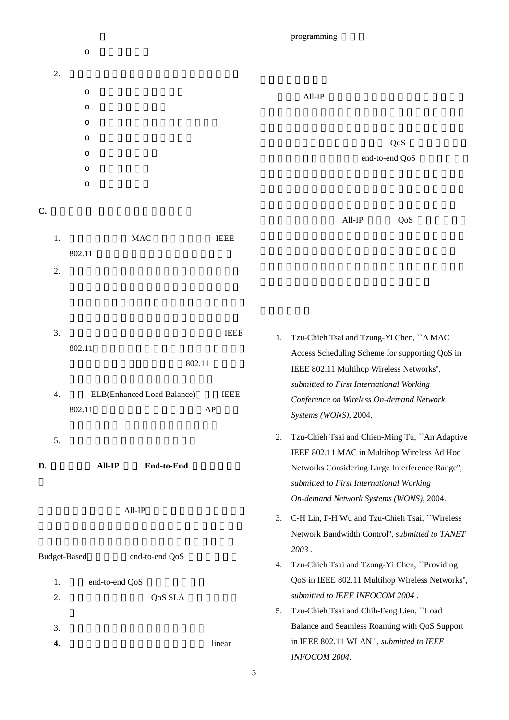programming